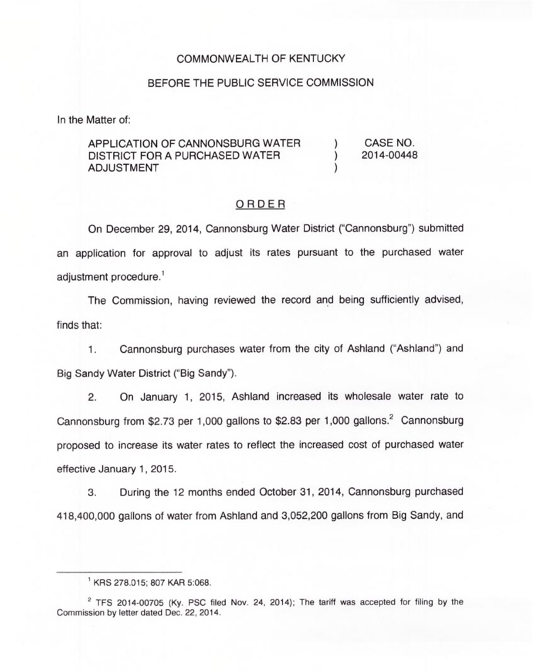### COMMONWEALTH OF KENTUCKY

#### BEFORE THE PUBLIC SERVICE COMMISSION

In the Matter of:

### APPLICATION OF CANNONSBURG WATER DISTRICT FOR A PURCHASED WATER ADJUSTMENT

) CASE NO. ) 2014-00448

)

### ORDER

On December 29, 2014, Cannonsburg Water District ("Cannonsburg") submitted an application for approval to adjust its rates pursuant to the purchased water adjustment procedure.<sup>1</sup>

The Commission, having reviewed the record and being sufficiently advised, finds that:

1. Cannonsburg purchases water from the city of Ashland ("Ashland") and Big Sandy Water District ("Big Sandy").

2. On January 1, 2015, Ashland increased its wholesale water rate to Cannonsburg from \$2.73 per 1,000 gallons to \$2.83 per 1,000 gallons.<sup>2</sup> Cannonsburg proposed to increase its water rates to reflect the increased cost of purchased water effective January 1, 2015.

3. During the 12 months ended October 31, 2014, Cannonsburg purchased 418,400,000 gallons of water from Ashland and 3,052,200 gallons from Big Sandy, and

KRS 278.015; 807 KAR 5:068.

 $2$  TFS 2014-00705 (Ky. PSC filed Nov. 24, 2014); The tariff was accepted for filing by the Commission by letter dated Dec. 22, 2014.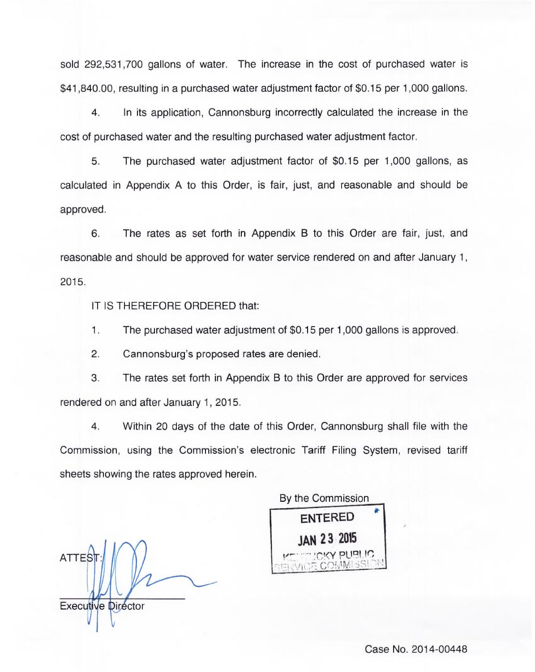sold 292,531,700 gallons of water. The increase in the cost of purchased water is \$41,840.00, resulting in a purchased water adjustment factor of \$0.15 per 1,000 gallons.

4. In its application, Cannonsburg incorrectly calculated the increase in the cost of purchased water and the resulting purchased water adjustment factor.

5. The purchased water adjustment factor of \$0.15 per 1,000 gallons, as calculated in Appendix A to this Order, is fair, just, and reasonable and should be approved.

6. The rates as set forth in Appendix B to this Order are fair, just, and reasonable and should be approved for water service rendered on and after January 1, 2015.

IT IS THEREFORE ORDERED that:

1. The purchased water adjustment of \$0.15 per 1,000 gallons is approved.

2. Cannonsburg's proposed rates are denied.

3. The rates set forth in Appendix B to this Order are approved for services rendered on and after January 1, 2015.

4. Within 20 days of the date of this Order, Cannonsburg shall file with the Commission, using the Commission's electronic Tariff Filing System, revised tariff sheets showing the rates approved herein.

**ATTES** Executive Director

By the Commission ENTERED )AN 23 <sup>2015</sup>

Case No. 2014-00448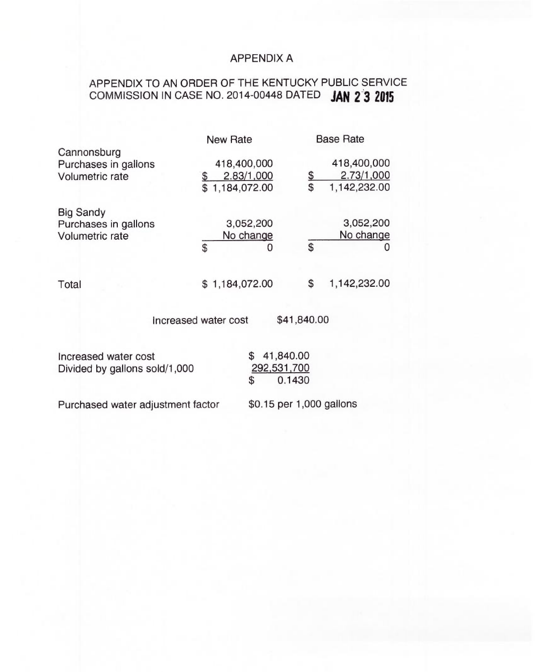## APPENDIX A

# APPENDIX TO AN ORDER OF THE KENTUCKY PUBLIC SERVICE COMMISSION IN CASE NO. 2014-00448 DATED JAN 2 3 2015

|                                                             | <b>New Rate</b>                             |             | <b>Base Rate</b>                          |
|-------------------------------------------------------------|---------------------------------------------|-------------|-------------------------------------------|
| Cannonsburg<br>Purchases in gallons<br>Volumetric rate      | 418,400,000<br>2.83/1,000<br>\$1,184,072.00 | \$<br>\$    | 418,400,000<br>2.73/1,000<br>1,142,232.00 |
| <b>Big Sandy</b><br>Purchases in gallons<br>Volumetric rate | 3,052,200<br>No change<br>\$<br>O           | \$          | 3,052,200<br>No change                    |
| Total                                                       | \$1,184,072.00                              | \$          | 1,142,232.00                              |
|                                                             | Increased water cost                        | \$41,840.00 |                                           |

Increased water cost Divided by gallons sold/1,000 \$ 41,840.00 292,531,700 \$ 0.1430

Purchased water adjustment factor

\$0.15 per 1,000 gallons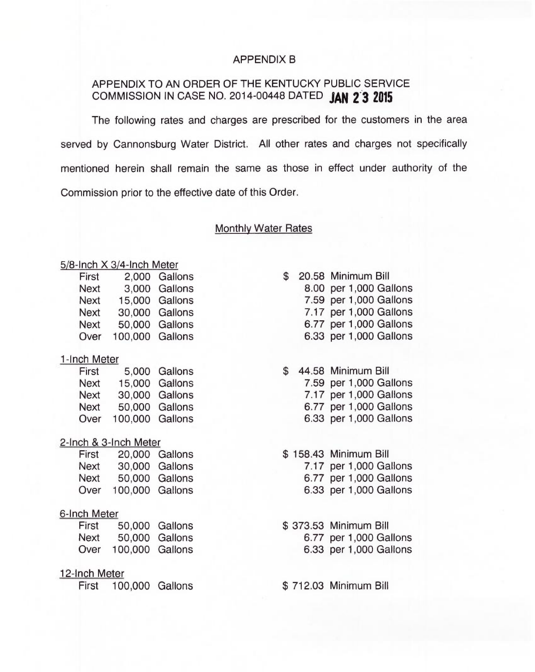### APPENDIX B

## APPENDIX TO AN ORDER OF THE KENTUCKY PUBLIC SERVICE COMMISSION IN CASE NO. 2014-00448 DATED JAN 2 3 2015

The following rates and charges are prescribed for the customers in the area served by Cannonsburg Water District. All other rates and charges not specifically mentioned herein shall remain the same as those in effect under authority of the Commission prior to the effective date of this Order.

### Monthly Water Rates

### 5/8-Inch X 3/4-Inch Mete

| First       |                 | 2,000 Gallons  |
|-------------|-----------------|----------------|
| <b>Next</b> |                 | 3,000 Gallons  |
| <b>Next</b> |                 | 15,000 Gallons |
| <b>Next</b> |                 | 30.000 Gallons |
| Next        |                 | 50,000 Gallons |
| Over        | 100,000 Gallons |                |
|             |                 |                |

#### 1-Inch Meter

| 5,000 Gallons   |
|-----------------|
| 15,000 Gallons  |
| 30,000 Gallons  |
| 50,000 Gallons  |
| 100.000 Gallons |
|                 |

#### 2-Inch & 3-Inch Meter

| First       |                 | 20,000 Gallons |
|-------------|-----------------|----------------|
| <b>Next</b> |                 | 30,000 Gallons |
| Next        |                 | 50,000 Gallons |
| Over        | 100,000 Gallons |                |

#### 6-Inch Meter

| First       |                 | 50,000 Gallons |
|-------------|-----------------|----------------|
| <b>Next</b> |                 | 50,000 Gallons |
| Over        | 100,000 Gallons |                |

#### 12-Inch Meter

First 100,000 Gallons \$712.03 Minimum Bill

## \$ 20.58 Minimum Bill

8.00 per 1,000 Gallons 7.59 per 1,000 Gallons 7.17 per 1,000 Gallons 6.77 per 1,000 Gallons 6.33 per 1,000 Gallons

- \$ 44.58 Minimum Bill 7.59 per 1,000 Gallons
	- 7.17 per 1,000 Gallons 6.77 per 1,000 Gallons 6.33 per 1,000 Gallons
- \$ 158.43 Minimum Bill 7.17 per 1,000 Gallons
	- 6.77 per 1,000 Gallons
	- 6.33 per 1,000 Gallons
- \$ 373.53 Minimum Bill 6.77 per 1,000 Gallons 6.33 per 1,000 Gallons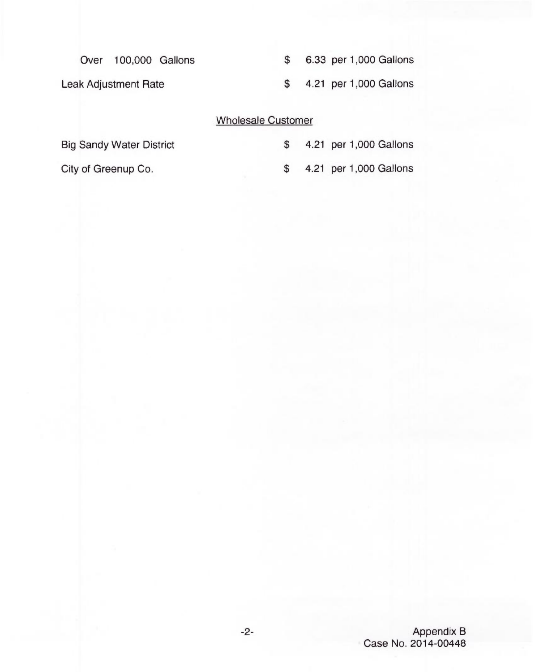Over 100,000 Gallons

Leak Adjustment Rate

\$ 6.33 per 1,000 Gallons

\$ 4.21 per 1,000 Gallons

## Wholesale Customer

Big Sandy Water District

City of Greenup Co.

- \$ 4.21 per 1,000 Gallons
- \$ 4.21 per 1,000 Gallons